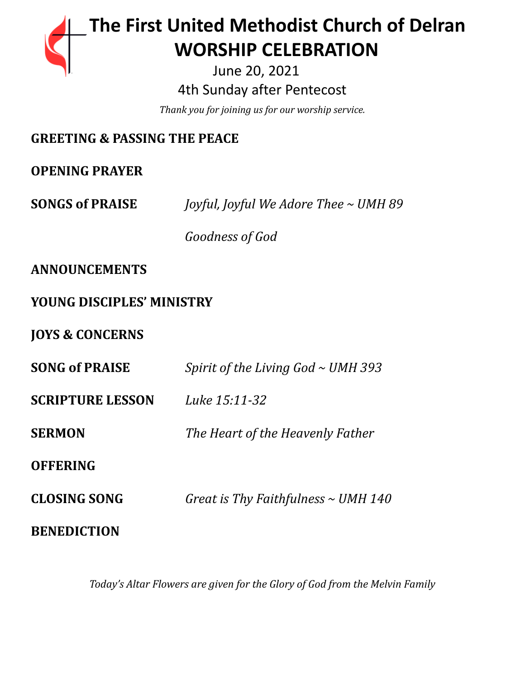# **The First United Methodist Church of Delran …… … WORSHIP CELEBRATION**

June 20, 2021 4th Sunday after Pentecost

*Thank you for joining us for our worship service.*

## **GREETING & PASSING THE PEACE**

**OPENING PRAYER**

**SONGS of PRAISE** *Joyful, Joyful We Adore Thee ~ UMH 89*

*Goodness of God*

**ANNOUNCEMENTS**

### **YOUNG DISCIPLES' MINISTRY**

**JOYS & CONCERNS**

| <b>SONG of PRAISE</b>   | Spirit of the Living God $\sim$ UMH 393  |
|-------------------------|------------------------------------------|
| <b>SCRIPTURE LESSON</b> | Luke 15:11-32                            |
| <b>SERMON</b>           | The Heart of the Heavenly Father         |
| <b>OFFERING</b>         |                                          |
| <b>CLOSING SONG</b>     | Great is Thy Faithfulness $\sim$ UMH 140 |
| <b>BENEDICTION</b>      |                                          |

*Today's Altar Flowers are given for the Glory of God from the Melvin Family*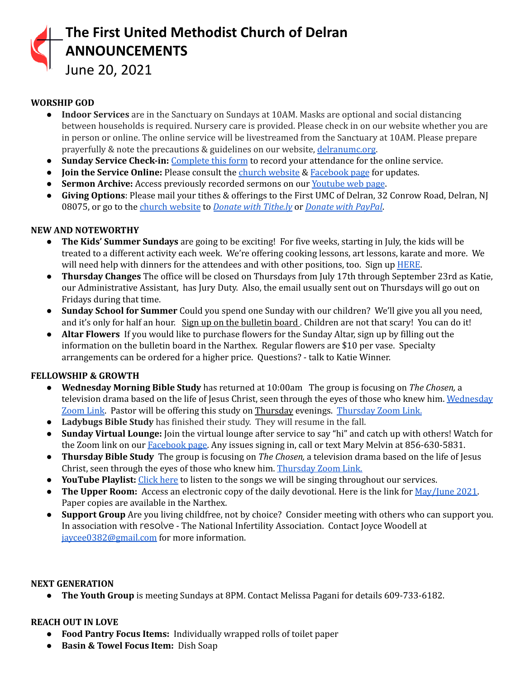

June 20, 2021

### **WORSHIP GOD**

- **Indoor Services** are in the Sanctuary on Sundays at 10AM. Masks are optional and social distancing between households is required. Nursery care is provided. Please check in on our website whether you are in person or online. The online service will be livestreamed from the Sanctuary at 10AM. Please prepare prayerfully & note the precautions & guidelines on our website, [delranumc.org](http://www.delranumc.org).
- **Sunday Service Check-in:** [Complete](https://forms.gle/2MxBkhaYGvKQZRcc9) this form to record your attendance for the online service.
- **● Join the Service Online:** Please consult the church [website](http://www.delranumc.org) & [Facebook](https://www.facebook.com/FirstUnitedMethodistChurch.Delran) page for updates.
- **Sermon Archive:** Access previously recorded sermons on our [Youtube](https://www.youtube.com/results?search_query=delran+first+umc+channel) web page.
- **Giving Options**: Please mail your tithes & offerings to the First UMC of Delran, 32 Conrow Road, Delran, NJ 08075, or go to the church [website](http://www.delranumc.org) to *Donate with [Tithe.ly](https://tithe.ly/give?c=1379451)* or *[Donate](https://www.paypal.com/donate/?token=JgyQQyCzJSzuWb-4M_kVuUa8ORCkKdbhPebT-DwrySzFpiafxE6LsZCirp50sAsR0jT_60&country.x=US&locale.x=) with PayPal*.

#### **NEW AND NOTEWORTHY**

- **● The Kids' Summer Sundays** are going to be exciting! For five weeks, starting in July, the kids will be treated to a different activity each week. We're offering cooking lessons, art lessons, karate and more. We will need help with dinners for the attendees and with other positions, too. Sign up [HERE](https://www.signupgenius.com/go/5080f4fa9ac2ca5f58-vbssupports).
- **Thursday Changes** The office will be closed on Thursdays from July 17th through September 23rd as Katie, our Administrative Assistant, has Jury Duty. Also, the email usually sent out on Thursdays will go out on Fridays during that time.
- **● Sunday School for Summer** Could you spend one Sunday with our children? We'll give you all you need, and it's only for half an hour. Sign up on the bulletin board. Children are not that scary! You can do it!
- **● Altar Flowers** If you would like to purchase flowers for the Sunday Altar, sign up by filling out the information on the bulletin board in the Narthex. Regular flowers are \$10 per vase. Specialty arrangements can be ordered for a higher price. Questions? - talk to Katie Winner.

#### **FELLOWSHIP & GROWTH**

- **● Wednesday Morning Bible Study** has returned at 10:00am The group is focusing on *The Chosen,* a television drama based on the life of Jesus Christ, seen through the eyes of those who knew him. [Wednesday](https://us02web.zoom.us/j/83299668925?pwd=R09VZzEvellRdnpsemtaQzJocW1nUT09) [Zoom](https://us02web.zoom.us/j/83299668925?pwd=R09VZzEvellRdnpsemtaQzJocW1nUT09) Link. Pastor will be offering this study on Thursday evenings. [Thursday](https://us02web.zoom.us/j/86724526082?pwd=Yk1aT0N6ajRzcUF6KzdhT05VU0k3Zz09) Zoom Link.
- **● Ladybugs Bible Study** has finished their study. They will resume in the fall.
- **● Sunday Virtual Lounge:** Join the virtual lounge after service to say "hi" and catch up with others! Watch for the Zoom link on our [Facebook](https://www.facebook.com/FirstUnitedMethodistChurch.Delran) page. Any issues signing in, call or text Mary Melvin at 856-630-5831.
- **Thursday Bible Study** The group is focusing on *The Chosen,* a television drama based on the life of Jesus Christ, seen through the eyes of those who knew him. [Thursday](https://us02web.zoom.us/j/86724526082?pwd=Yk1aT0N6ajRzcUF6KzdhT05VU0k3Zz09) Zoom Link.
- **● YouTube Playlist:** [Click](https://www.youtube.com/watch?v=lJJQjFnX0nk&list=PL76HlEzH6SKYV7jHyH7qBV7M1G3TK8-OK) here to listen to the songs we will be singing throughout our services.
- **The Upper Room:** Access an electronic copy of the daily devotional. Here is the link for [May/June](https://destination-site-production.s3.amazonaws.com/covers/URE_May-June2021.pdf) 2021. Paper copies are available in the Narthex.
- **Support Group** Are you living childfree, not by choice? Consider meeting with others who can support you. In association with resolve - The National Infertility Association. Contact Joyce Woodell at [jaycee0382@gmail.com](mailto:jaycee0382@gmail.com) for more information.

#### **NEXT GENERATION**

**● The Youth Group** is meeting Sundays at 8PM. Contact Melissa Pagani for details 609-733-6182.

#### **REACH OUT IN LOVE**

- **Food Pantry Focus Items:** Individually wrapped rolls of toilet paper
- **Basin & Towel Focus Item:** Dish Soap